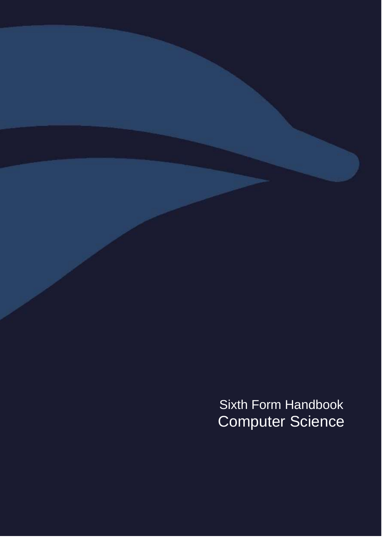<span id="page-0-0"></span>Sixth Form Handbook Computer Science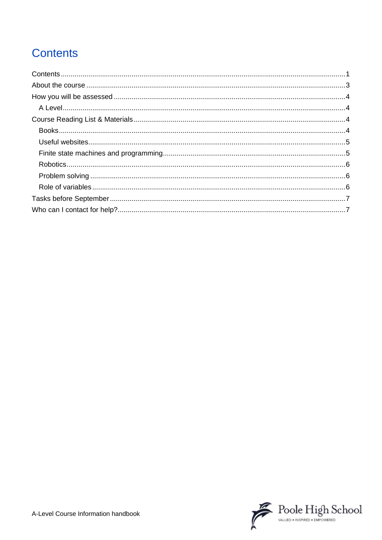# **Contents**

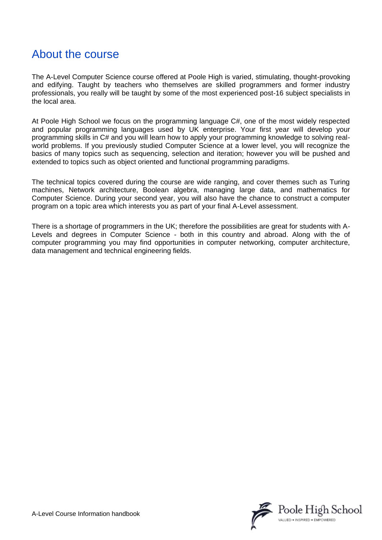# <span id="page-2-0"></span>About the course

The A-Level Computer Science course offered at Poole High is varied, stimulating, thought-provoking and edifying. Taught by teachers who themselves are skilled programmers and former industry professionals, you really will be taught by some of the most experienced post-16 subject specialists in the local area.

At Poole High School we focus on the programming language C#, one of the most widely respected and popular programming languages used by UK enterprise. Your first year will develop your programming skills in C# and you will learn how to apply your programming knowledge to solving realworld problems. If you previously studied Computer Science at a lower level, you will recognize the basics of many topics such as sequencing, selection and iteration; however you will be pushed and extended to topics such as object oriented and functional programming paradigms.

The technical topics covered during the course are wide ranging, and cover themes such as Turing machines, Network architecture, Boolean algebra, managing large data, and mathematics for Computer Science. During your second year, you will also have the chance to construct a computer program on a topic area which interests you as part of your final A-Level assessment.

There is a shortage of programmers in the UK; therefore the possibilities are great for students with A-Levels and degrees in Computer Science - both in this country and abroad. Along with the of computer programming you may find opportunities in computer networking, computer architecture, data management and technical engineering fields.

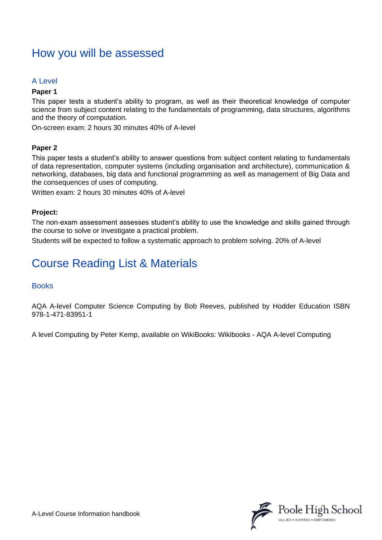### <span id="page-3-0"></span>How you will be assessed

### <span id="page-3-1"></span>A Level

#### **Paper 1**

This paper tests a student's ability to program, as well as their theoretical knowledge of computer science from subject content relating to the fundamentals of programming, data structures, algorithms and the theory of computation.

On-screen exam: 2 hours 30 minutes 40% of A-level

### **Paper 2**

This paper tests a student's ability to answer questions from subject content relating to fundamentals of data representation, computer systems (including organisation and architecture), communication & networking, databases, big data and functional programming as well as management of Big Data and the consequences of uses of computing.

Written exam: 2 hours 30 minutes 40% of A-level

### **Project:**

The non-exam assessment assesses student's ability to use the knowledge and skills gained through the course to solve or investigate a practical problem.

Students will be expected to follow a systematic approach to problem solving. 20% of A-level

### <span id="page-3-2"></span>Course Reading List & Materials

### <span id="page-3-3"></span>**Books**

AQA A-level Computer Science Computing by Bob Reeves, published by Hodder Education ISBN 978-1-471-83951-1

A level Computing by Peter Kemp, available on WikiBooks: Wikibooks - AQA A-level Computing

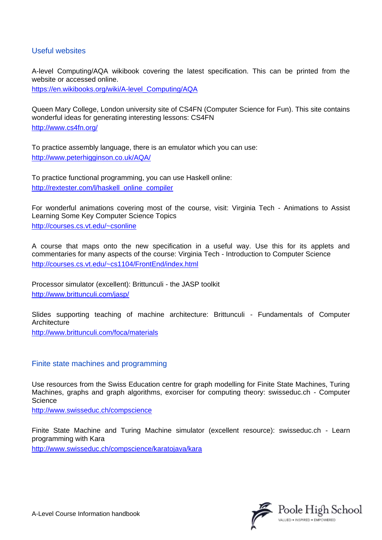### <span id="page-4-0"></span>Useful websites

A-level Computing/AQA wikibook covering the latest specification. This can be printed from the website or accessed online.

[https://en.wikibooks.org/wiki/A-level\\_Computing/AQA](https://en.wikibooks.org/wiki/A-level_Computing/AQA)

Queen Mary College, London university site of CS4FN (Computer Science for Fun). This site contains wonderful ideas for generating interesting lessons: CS4FN <http://www.cs4fn.org/>

To practice assembly language, there is an emulator which you can use: <http://www.peterhigginson.co.uk/AQA/>

To practice functional programming, you can use Haskell online: [http://rextester.com/l/haskell\\_online\\_compiler](http://rextester.com/l/haskell_online_compiler)

For wonderful animations covering most of the course, visit: Virginia Tech - Animations to Assist Learning Some Key Computer Science Topics <http://courses.cs.vt.edu/~csonline>

A course that maps onto the new specification in a useful way. Use this for its applets and commentaries for many aspects of the course: Virginia Tech - Introduction to Computer Science <http://courses.cs.vt.edu/~cs1104/FrontEnd/index.html>

Processor simulator (excellent): Brittunculi - the JASP toolkit <http://www.brittunculi.com/jasp/>

Slides supporting teaching of machine architecture: Brittunculi - Fundamentals of Computer **Architecture** 

<http://www.brittunculi.com/foca/materials>

#### <span id="page-4-1"></span>Finite state machines and programming

Use resources from the Swiss Education centre for graph modelling for Finite State Machines, Turing Machines, graphs and graph algorithms, exorciser for computing theory: swisseduc.ch - Computer Science

<http://www.swisseduc.ch/compscience>

Finite State Machine and Turing Machine simulator (excellent resource): swisseduc.ch - Learn programming with Kara

<http://www.swisseduc.ch/compscience/karatojava/kara>

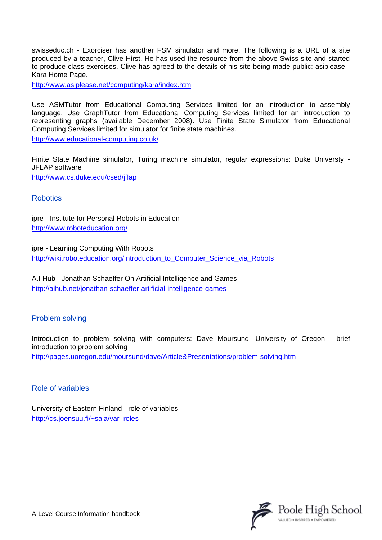swisseduc.ch - Exorciser has another FSM simulator and more. The following is a URL of a site produced by a teacher, Clive Hirst. He has used the resource from the above Swiss site and started to produce class exercises. Clive has agreed to the details of his site being made public: asiplease - Kara Home Page.

<http://www.asiplease.net/computing/kara/index.htm>

Use ASMTutor from Educational Computing Services limited for an introduction to assembly language. Use GraphTutor from Educational Computing Services limited for an introduction to representing graphs (available December 2008). Use Finite State Simulator from Educational Computing Services limited for simulator for finite state machines.

<http://www.educational-computing.co.uk/>

Finite State Machine simulator, Turing machine simulator, regular expressions: Duke Universty - JFLAP software

<http://www.cs.duke.edu/csed/jflap>

<span id="page-5-0"></span>**Robotics** 

ipre - Institute for Personal Robots in Education <http://www.roboteducation.org/>

ipre - Learning Computing With Robots [http://wiki.roboteducation.org/Introduction\\_to\\_Computer\\_Science\\_via\\_Robots](http://wiki.roboteducation.org/Introduction_to_Computer_Science_via_Robots)

A.I Hub - Jonathan Schaeffer On Artificial Intelligence and Games <http://aihub.net/jonathan-schaeffer-artificial-intelligence-games>

### <span id="page-5-1"></span>Problem solving

Introduction to problem solving with computers: Dave Moursund, University of Oregon - brief introduction to problem solving <http://pages.uoregon.edu/moursund/dave/Article&Presentations/problem-solving.htm>

<span id="page-5-2"></span>Role of variables

University of Eastern Finland - role of variables [http://cs.joensuu.fi/~saja/var\\_roles](http://cs.joensuu.fi/~saja/var_roles)



A-Level Course Information handbook